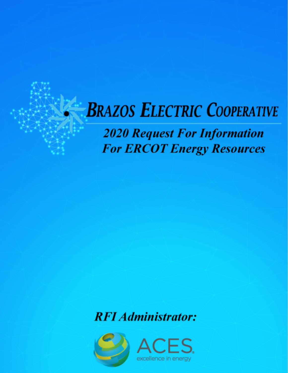# **BRAZOS ELECTRIC COOPERATIVE**

**2020 Request For Information For ERCOT Energy Resources** 

**RFI Administrator:** 

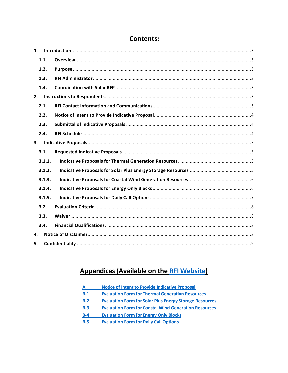| 1. |        |  |  |  |  |  |
|----|--------|--|--|--|--|--|
|    | 1.1.   |  |  |  |  |  |
|    | 1.2.   |  |  |  |  |  |
|    | 1.3.   |  |  |  |  |  |
|    | 1.4.   |  |  |  |  |  |
| 2. |        |  |  |  |  |  |
|    | 2.1.   |  |  |  |  |  |
|    | 2.2.   |  |  |  |  |  |
|    | 2.3.   |  |  |  |  |  |
|    | 2.4.   |  |  |  |  |  |
|    | 3.     |  |  |  |  |  |
|    | 3.1.   |  |  |  |  |  |
|    | 3.1.1. |  |  |  |  |  |
|    | 3.1.2. |  |  |  |  |  |
|    | 3.1.3. |  |  |  |  |  |
|    | 3.1.4. |  |  |  |  |  |
|    | 3.1.5. |  |  |  |  |  |
|    | 3.2.   |  |  |  |  |  |
|    | 3.3.   |  |  |  |  |  |
|    | 3.4.   |  |  |  |  |  |
| 4. |        |  |  |  |  |  |
| 5. |        |  |  |  |  |  |

## **Contents:**

## **Appendices (Available on the RFI Website)**

| A     | <b>Notice of Intent to Provide Indicative Proposal</b>         |
|-------|----------------------------------------------------------------|
| $B-1$ | <b>Evaluation Form for Thermal Generation Resources</b>        |
| $B-2$ | <b>Evaluation Form for Solar Plus Energy Storage Resources</b> |
| $B-3$ | <b>Evaluation Form for Coastal Wind Generation Resources</b>   |
| $B-4$ | <b>Evaluation Form for Energy Only Blocks</b>                  |
| $B-5$ | <b>Evaluation Form for Daily Call Options</b>                  |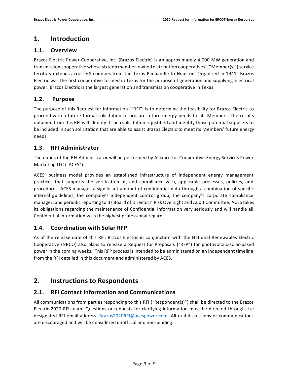## <span id="page-2-0"></span>**1. Introduction**

## <span id="page-2-1"></span>**1.1. Overview**

Brazos Electric Power Cooperative, Inc. (Brazos Electric) is an approximately 4,000 MW generation and transmission cooperative whose sixteen member-owned distribution cooperatives' ("Member(s)") service territory extends across 68 counties from the Texas Panhandle to Houston. Organized in 1941, Brazos Electric was the first cooperative formed in Texas for the purpose of generation and supplying electrical power. Brazos Electric is the largest generation and transmission cooperative in Texas.

## <span id="page-2-2"></span>**1.2. Purpose**

The purpose of this Request for Information ("RFI") is to determine the feasibility for Brazos Electric to proceed with a future formal solicitation to procure future energy needs for its Members. The results obtained from this RFI will identify if such solicitation is justified and identify those potential suppliers to be included in such solicitation that are able to assist Brazos Electric to meet its Members' future energy needs.

## <span id="page-2-3"></span>**1.3. RFI Administrator**

The duties of the RFI Administrator will be performed by Alliance for Cooperative Energy Services Power Marketing LLC ("ACES").

ACES' business model provides an established infrastructure of independent energy management practices that supports the verification of, and compliance with, applicable processes, policies, and procedures. ACES manages a significant amount of confidential data through a combination of specific internal guidelines, the company's independent control group, the company's corporate compliance manager, and periodic reporting to its Board of Directors' Risk Oversight and Audit Committee. ACES takes its obligations regarding the maintenance of Confidential Information very seriously and will handle all Confidential Information with the highest professional regard.

## <span id="page-2-4"></span>**1.4. Coordination with Solar RFP**

As of the release date of this RFI, Brazos Electric in conjunction with the National Renewables Electric Cooperative (NRCO) also plans to release a Request for Proposals ("RFP") for photovoltaic-solar-based power in the coming weeks. This RFP process is intended to be administered on an independent timeline from the RFI detailed in this document and administered by ACES.

## <span id="page-2-5"></span>**2. Instructions to Respondents**

## <span id="page-2-6"></span>**2.1. RFI Contact Information and Communications**

All communications from parties responding to this RFI ("Respondent(s)") shall be directed to the Brazos Electric 2020 RFI team. Questions or requests for clarifying information must be directed through the designated RFI email address: [Brazos2020RFI@acespower.com.](mailto:Brazos2020RFI@acespower.com) All oral discussions or communications are discouraged and will be considered unofficial and non-binding.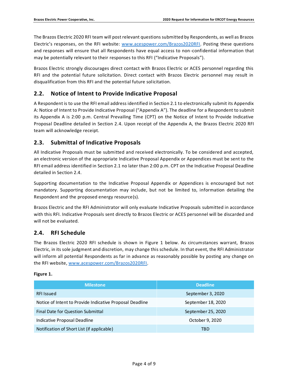The Brazos Electric 2020 RFI team will post relevant questions submitted by Respondents, as well as Brazos Electric's responses, on the RFI website: [www.acespower.com/Brazos2020RFI.](http://www.acespower.com/Brazos2020RFI) Posting these questions and responses will ensure that all Respondents have equal access to non-confidential information that may be potentially relevant to their responses to this RFI ("Indicative Proposals").

Brazos Electric strongly discourages direct contact with Brazos Electric or ACES personnel regarding this RFI and the potential future solicitation. Direct contact with Brazos Electric personnel may result in disqualification from this RFI and the potential future solicitation.

## <span id="page-3-0"></span>**2.2. Notice of Intent to Provide Indicative Proposal**

A Respondent is to use the RFI email address identified in Section 2.1 to electronically submit its Appendix A: Notice of Intent to Provide Indicative Proposal ("Appendix A"). The deadline for a Respondent to submit its Appendix A is 2:00 p.m. Central Prevailing Time (CPT) on the Notice of Intent to Provide Indicative Proposal Deadline detailed in Section 2.4. Upon receipt of the Appendix A, the Brazos Electric 2020 RFI team will acknowledge receipt.

## <span id="page-3-1"></span>**2.3. Submittal of Indicative Proposals**

All Indicative Proposals must be submitted and received electronically. To be considered and accepted, an electronic version of the appropriate Indicative Proposal Appendix or Appendices must be sent to the RFI email address identified in Section 2.1 no later than 2:00 p.m. CPT on the Indicative Proposal Deadline detailed in Section 2.4.

Supporting documentation to the Indicative Proposal Appendix or Appendices is encouraged but not mandatory. Supporting documentation may include, but not be limited to, information detailing the Respondent and the proposed energy resource(s).

Brazos Electric and the RFI Administrator will only evaluate Indicative Proposals submitted in accordance with this RFI. Indicative Proposals sent directly to Brazos Electric or ACES personnel will be discarded and will not be evaluated.

## <span id="page-3-2"></span>**2.4. RFI Schedule**

The Brazos Electric 2020 RFI schedule is shown in Figure 1 below. As circumstances warrant, Brazos Electric, in its sole judgment and discretion, may change this schedule. In that event, the RFI Administrator will inform all potential Respondents as far in advance as reasonably possible by posting any change on the RFI website, [www.acespower.com/Brazos2020RFI.](http://www.acespower.com/Brazos2020RFI)

#### **Figure 1.**

| <b>Milestone</b>                                         | <b>Deadline</b>    |  |
|----------------------------------------------------------|--------------------|--|
| <b>RFI Issued</b>                                        | September 3, 2020  |  |
| Notice of Intent to Provide Indicative Proposal Deadline | September 18, 2020 |  |
| Final Date for Question Submittal                        | September 25, 2020 |  |
| Indicative Proposal Deadline                             | October 9, 2020    |  |
| Notification of Short List (if applicable)               | TBD                |  |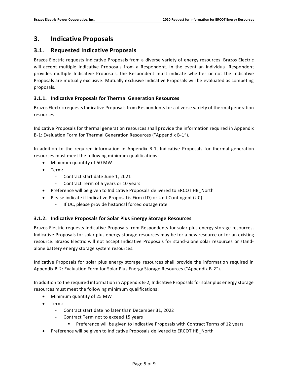## <span id="page-4-0"></span>**3. Indicative Proposals**

## <span id="page-4-1"></span>**3.1. Requested Indicative Proposals**

Brazos Electric requests Indicative Proposals from a diverse variety of energy resources. Brazos Electric will accept multiple Indicative Proposals from a Respondent. In the event an individual Respondent provides multiple Indicative Proposals, the Respondent must indicate whether or not the Indicative Proposals are mutually exclusive. Mutually exclusive Indicative Proposals will be evaluated as competing proposals.

#### <span id="page-4-2"></span>**3.1.1. Indicative Proposals for Thermal Generation Resources**

Brazos Electric requests Indicative Proposals from Respondents for a diverse variety of thermal generation resources.

Indicative Proposals for thermal generation resources shall provide the information required in Appendix B-1: Evaluation Form for Thermal Generation Resources ("Appendix B-1").

In addition to the required information in Appendix B-1, Indicative Proposals for thermal generation resources must meet the following minimum qualifications:

- Minimum quantity of 50 MW
- Term:
	- Contract start date June 1, 2021
	- Contract Term of 5 years or 10 years
- Preference will be given to Indicative Proposals delivered to ERCOT HB\_North
- Please indicate if Indicative Proposal is Firm (LD) or Unit Contingent (UC)
	- If UC, please provide historical forced outage rate

#### <span id="page-4-3"></span>**3.1.2. Indicative Proposals for Solar Plus Energy Storage Resources**

Brazos Electric requests Indicative Proposals from Respondents for solar plus energy storage resources. Indicative Proposals for solar plus energy storage resources may be for a new resource or for an existing resource. Brazos Electric will not accept Indicative Proposals for stand-alone solar resources or standalone battery energy storage system resources.

Indicative Proposals for solar plus energy storage resources shall provide the information required in Appendix B-2: Evaluation Form for Solar Plus Energy Storage Resources ("Appendix B-2").

In addition to the required information in Appendix B-2, Indicative Proposals for solar plus energy storage resources must meet the following minimum qualifications:

- Minimum quantity of 25 MW
- Term:
	- Contract start date no later than December 31, 2022
	- Contract Term not to exceed 15 years
		- Preference will be given to Indicative Proposals with Contract Terms of 12 years
- Preference will be given to Indicative Proposals delivered to ERCOT HB\_North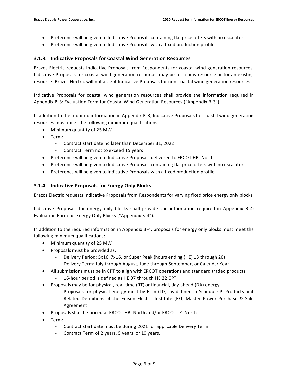- Preference will be given to Indicative Proposals containing flat price offers with no escalators
- Preference will be given to Indicative Proposals with a fixed production profile

#### <span id="page-5-0"></span>**3.1.3. Indicative Proposals for Coastal Wind Generation Resources**

Brazos Electric requests Indicative Proposals from Respondents for coastal wind generation resources. Indicative Proposals for coastal wind generation resources may be for a new resource or for an existing resource. Brazos Electric will not accept Indicative Proposals for non-coastal wind generation resources.

Indicative Proposals for coastal wind generation resources shall provide the information required in Appendix B-3: Evaluation Form for Coastal Wind Generation Resources ("Appendix B-3").

In addition to the required information in Appendix B-3, Indicative Proposals for coastal wind generation resources must meet the following minimum qualifications:

- Minimum quantity of 25 MW
- Term:
	- Contract start date no later than December 31, 2022
	- Contract Term not to exceed 15 years
- Preference will be given to Indicative Proposals delivered to ERCOT HB\_North
- Preference will be given to Indicative Proposals containing flat price offers with no escalators
- Preference will be given to Indicative Proposals with a fixed production profile

#### <span id="page-5-1"></span>**3.1.4. Indicative Proposals for Energy Only Blocks**

Brazos Electric requests Indicative Proposals from Respondents for varying fixed price energy only blocks.

Indicative Proposals for energy only blocks shall provide the information required in Appendix B-4: Evaluation Form for Energy Only Blocks ("Appendix B-4").

In addition to the required information in Appendix B-4, proposals for energy only blocks must meet the following minimum qualifications:

- Minimum quantity of 25 MW
- Proposals must be provided as:
	- Delivery Period: 5x16, 7x16, or Super Peak (hours ending (HE) 13 through 20)
	- Delivery Term: July through August, June through September, or Calendar Year
- All submissions must be in CPT to align with ERCOT operations and standard traded products
	- 16-hour period is defined as HE 07 through HE 22 CPT
- Proposals may be for physical, real-time (RT) or financial, day-ahead (DA) energy
	- Proposals for physical energy must be Firm (LD), as defined in Schedule P: Products and Related Definitions of the Edison Electric Institute (EEI) Master Power Purchase & Sale Agreement
- Proposals shall be priced at ERCOT HB\_North and/or ERCOT LZ\_North
- Term:
	- Contract start date must be during 2021 for applicable Delivery Term
	- Contract Term of 2 years, 5 years, or 10 years.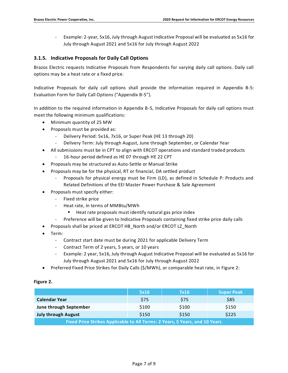- Example: 2-year, 5x16, July through August Indicative Proposal will be evaluated as 5x16 for July through August 2021 and 5x16 for July through August 2022

#### <span id="page-6-0"></span>**3.1.5. Indicative Proposals for Daily Call Options**

Brazos Electric requests Indicative Proposals from Respondents for varying daily call options. Daily call options may be a heat rate or a fixed price.

Indicative Proposals for daily call options shall provide the information required in Appendix B-5: Evaluation Form for Daily Call Options ("Appendix B-5").

In addition to the required information in Appendix B-5, Indicative Proposals for daily call options must meet the following minimum qualifications:

- Minimum quantity of 25 MW
- Proposals must be provided as:
	- Delivery Period: 5x16, 7x16, or Super Peak (HE 13 through 20)
	- Delivery Term: July through August, June through September, or Calendar Year
- All submissions must be in CPT to align with ERCOT operations and standard traded products
	- 16-hour period defined as HE 07 through HE 22 CPT
- Proposals may be structured as Auto-Settle or Manual Strike
- Proposals may be for the physical, RT or financial, DA settled product
	- Proposals for physical energy must be Firm (LD), as defined in Schedule P: Products and Related Definitions of the EEI Master Power Purchase & Sale Agreement
- Proposals must specify either:
	- Fixed strike price
	- Heat rate, in terms of MMBtu/MWh
		- Heat rate proposals must identify natural gas price index
	- Preference will be given to Indicative Proposals containing fixed strike price daily calls
- Proposals shall be priced at ERCOT HB\_North and/or ERCOT LZ\_North
- Term:
	- Contract start date must be during 2021 for applicable Delivery Term
	- Contract Term of 2 years, 5 years, or 10 years
	- Example: 2 year, 5x16, July through August Indicative Proposal will be evaluated as 5x16 for July through August 2021 and 5x16 for July through August 2022
- Preferred Fixed Price Strikes for Daily Calls (\$/MWh), or comparable heat rate, in Figure 2:

#### **Figure 2.**

|                                                                                    | 5x16       | 7x16  | <b>Super Peak</b> |  |  |  |
|------------------------------------------------------------------------------------|------------|-------|-------------------|--|--|--|
| <b>Calendar Year</b>                                                               | <b>S75</b> | \$75  | \$85              |  |  |  |
| June through September                                                             | \$100      | \$100 | \$150             |  |  |  |
| <b>July through August</b>                                                         | \$150      | \$150 | \$225             |  |  |  |
| <b>Fixed Price Strikes Applicable to All Terms: 2 Years, 5 Years, and 10 Years</b> |            |       |                   |  |  |  |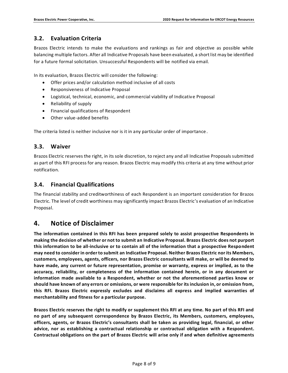## <span id="page-7-0"></span>**3.2. Evaluation Criteria**

Brazos Electric intends to make the evaluations and rankings as fair and objective as possible while balancing multiple factors. After all Indicative Proposals have been evaluated, a short list may be identified for a future formal solicitation. Unsuccessful Respondents will be notified via email.

In its evaluation, Brazos Electric will consider the following:

- Offer prices and/or calculation method inclusive of all costs
- Responsiveness of Indicative Proposal
- Logistical, technical, economic, and commercial viability of Indicative Proposal
- Reliability of supply
- Financial qualifications of Respondent
- Other value-added benefits

The criteria listed is neither inclusive nor is it in any particular order of importance .

### <span id="page-7-1"></span>**3.3. Waiver**

Brazos Electric reserves the right, in its sole discretion, to reject any and all Indicative Proposals submitted as part of this RFI process for any reason. Brazos Electric may modify this criteria at any time without prior notification.

## <span id="page-7-2"></span>**3.4. Financial Qualifications**

The financial stability and creditworthiness of each Respondent is an important consideration for Brazos Electric. The level of credit worthiness may significantly impact Brazos Electric's evaluation of an Indicative Proposal.

## <span id="page-7-3"></span>**4. Notice of Disclaimer**

**The information contained in this RFI has been prepared solely to assist prospective Respondents in making the decision of whether or not to submit an Indicative Proposal. Brazos Electric does not purport this information to be all-inclusive or to contain all of the information that a prospective Respondent may need to consider in order to submit an Indicative Proposal. Neither Brazos Electric nor its Members, customers, employees, agents, officers, nor Brazos Electric consultants will make, or will be deemed to have made, any current or future representation, promise or warranty, express or implied, as to the accuracy, reliability, or completeness of the information contained herein, or in any document or information made available to a Respondent, whether or not the aforementioned parties know or should have known of any errors or omissions, or were responsible for its inclusion in, or omission from, this RFI. Brazos Electric expressly excludes and disclaims all express and implied warranties of merchantability and fitness for a particular purpose.**

**Brazos Electric reserves the right to modify or supplement this RFI at any time. No part of this RFI and no part of any subsequent correspondence by Brazos Electric, its Members, customers, employees, officers, agents, or Brazos Electric's consultants shall be taken as providing legal, financial, or other advice, nor as establishing a contractual relationship or contractual obligation with a Respondent. Contractual obligations on the part of Brazos Electric will arise only if and when definitive agreements**